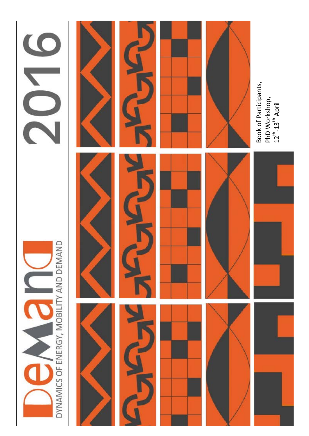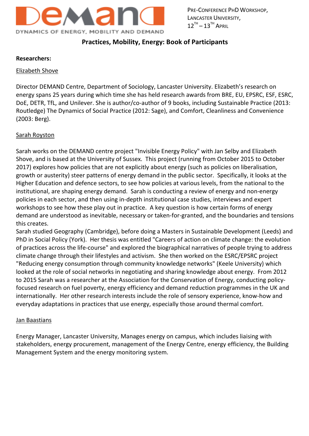

# **Practices, Mobility, Energy: Book of Participants**

#### **Researchers:**

#### Elizabeth Shove

Director DEMAND Centre, Department of Sociology, Lancaster University. Elizabeth's research on energy spans 25 years during which time she has held research awards from BRE, EU, EPSRC, ESF, ESRC, DoE, DETR, TfL, and Unilever. She is author/co-author of 9 books, including Sustainable Practice (2013: Routledge) The Dynamics of Social Practice (2012: Sage), and Comfort, Cleanliness and Convenience (2003: Berg).

#### Sarah Royston

Sarah works on the DEMAND centre project "Invisible Energy Policy" with Jan Selby and Elizabeth Shove, and is based at the University of Sussex. This project (running from October 2015 to October 2017) explores how policies that are not explicitly about energy (such as policies on liberalisation, growth or austerity) steer patterns of energy demand in the public sector. Specifically, it looks at the Higher Education and defence sectors, to see how policies at various levels, from the national to the institutional, are shaping energy demand. Sarah is conducting a review of energy and non-energy policies in each sector, and then using in-depth institutional case studies, interviews and expert workshops to see how these play out in practice. A key question is how certain forms of energy demand are understood as inevitable, necessary or taken-for-granted, and the boundaries and tensions this creates.

Sarah studied Geography (Cambridge), before doing a Masters in Sustainable Development (Leeds) and PhD in Social Policy (York). Her thesis was entitled "Careers of action on climate change: the evolution of practices across the life-course" and explored the biographical narratives of people trying to address climate change through their lifestyles and activism. She then worked on the ESRC/EPSRC project "Reducing energy consumption through community knowledge networks" (Keele University) which looked at the role of social networks in negotiating and sharing knowledge about energy. From 2012 to 2015 Sarah was a researcher at the Association for the Conservation of Energy, conducting policyfocused research on fuel poverty, energy efficiency and demand reduction programmes in the UK and internationally. Her other research interests include the role of sensory experience, know-how and everyday adaptations in practices that use energy, especially those around thermal comfort.

#### Jan Baastians

Energy Manager, Lancaster University, Manages energy on campus, which includes liaising with stakeholders, energy procurement, management of the Energy Centre, energy efficiency, the Building Management System and the energy monitoring system.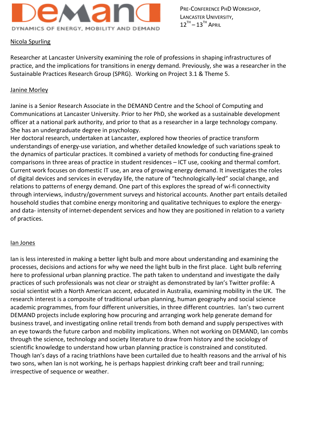

## Nicola Spurling

Researcher at Lancaster University examining the role of professions in shaping infrastructures of practice, and the implications for transitions in energy demand. Previously, she was a researcher in the Sustainable Practices Research Group (SPRG). Working on Project 3.1 & Theme 5.

#### Janine Morley

Janine is a Senior Research Associate in the DEMAND Centre and the School of Computing and Communications at Lancaster University. Prior to her PhD, she worked as a sustainable development officer at a national park authority, and prior to that as a researcher in a large technology company. She has an undergraduate degree in psychology.

Her doctoral research, undertaken at Lancaster, explored how theories of practice transform understandings of energy-use variation, and whether detailed knowledge of such variations speak to the dynamics of particular practices. It combined a variety of methods for conducting fine-grained comparisons in three areas of practice in student residences – ICT use, cooking and thermal comfort. Current work focuses on domestic IT use, an area of growing energy demand. It investigates the roles of digital devices and services in everyday life, the nature of "technologically-led" social change, and relations to patterns of energy demand. One part of this explores the spread of wi-fi connectivity through interviews, industry/government surveys and historical accounts. Another part entails detailed household studies that combine energy monitoring and qualitative techniques to explore the energyand data- intensity of internet-dependent services and how they are positioned in relation to a variety of practices.

#### Ian Jones

Ian is less interested in making a better light bulb and more about understanding and examining the processes, decisions and actions for why we need the light bulb in the first place. Light bulb referring here to professional urban planning practice. The path taken to understand and investigate the daily practices of such professionals was not clear or straight as demonstrated by Ian's Twitter profile: A social scientist with a North American accent, educated in Australia, examining mobility in the UK. The research interest is a composite of traditional urban planning, human geography and social science academic programmes, from four different universities, in three different countries. Ian's two current DEMAND projects include exploring how procuring and arranging work help generate demand for business travel, and investigating online retail trends from both demand and supply perspectives with an eye towards the future carbon and mobility implications. When not working on DEMAND, Ian combs through the science, technology and society literature to draw from history and the sociology of scientific knowledge to understand how urban planning practice is constrained and constituted. Though Ian's days of a racing triathlons have been curtailed due to health reasons and the arrival of his two sons, when Ian is not working, he is perhaps happiest drinking craft beer and trail running; irrespective of sequence or weather.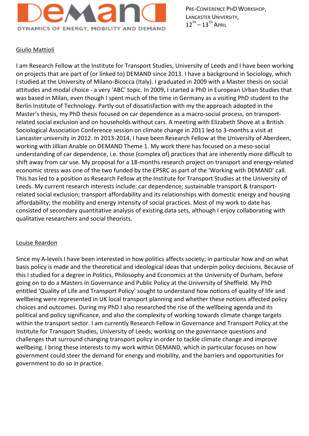

#### Giulio Mattioli

I am Research Fellow at the Institute for Transport Studies, University of Leeds and I have been working on projects that are part of (or linked to) DEMAND since 2013. I have a background in Sociology, which I studied at the University of Milano-Bicocca (Italy). I graduated in 2009 with a Master thesis on social attitudes and modal choice - a very 'ABC' topic. In 2009, I started a PhD in European Urban Studies that was based in Milan, even though I spent much of the time in Germany as a visiting PhD student to the Berlin Institute of Technology. Partly out of dissatisfaction with my the approach adopted in the Master's thesis, my PhD thesis focused on car dependence as a macro-social process, on transportrelated social exclusion and on households without cars. A meeting with Elizabeth Shove at a British Sociological Association Conference session on climate change in 2011 led to 3-months a visit at Lancaster university in 2012. In 2013-2014, I have been Research Fellow at the University of Aberdeen, working with Jillian Anable on DEMAND Theme 1. My work there has focused on a meso-social understanding of car dependence, i.e. those (complex of) practices that are inherently more difficult to shift away from car use. My proposal for a 18-months research project on transport and energy-related economic stress was one of the two funded by the EPSRC as part of the 'Working with DEMAND' call. This has led to a position as Research Fellow at the Institute for Transport Studies at the University of Leeds. My current research interests include: car dependence; sustainable transport & transportrelated social exclusion; transport affordability and its relationships with domestic energy and housing affordability; the mobility and energy intensity of social practices. Most of my work to date has consisted of secondary quantitative analysis of existing data sets, although I enjoy collaborating with qualitative researchers and social theorists.

#### Louise Reardon

Since my A-levels I have been interested in how politics affects society; in particular how and on what basis policy is made and the theoretical and ideological ideas that underpin policy decisions. Because of this I studied for a degree in Politics, Philosophy and Economics at the University of Durham, before going on to do a Masters in Governance and Public Policy at the University of Sheffield. My PhD entitled 'Quality of Life and Transport Policy' sought to understand how notions of quality of life and wellbeing were represented in UK local transport planning and whether these notions affected policy choices and outcomes. During my PhD I also researched the rise of the wellbeing agenda and its political and policy significance, and also the complexity of working towards climate change targets within the transport sector. I am currently Research Fellow in Governance and Transport Policy at the Institute for Transport Studies, University of Leeds; working on the governance questions and challenges that surround changing transport policy in order to tackle climate change and improve wellbeing. I bring these interests to my work within DEMAND, which in particular focuses on how government could steer the demand for energy and mobility, and the barriers and opportunities for government to do so in practice.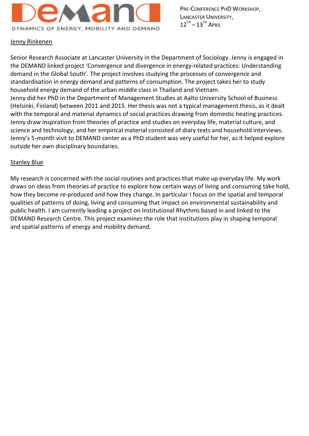

#### Jenny Rinkenen

Senior Research Associate at Lancaster University in the Department of Sociology. Jenny is engaged in the DEMAND linked project 'Convergence and divergence in energy-related practices: Understanding demand in the Global South'. The project involves studying the processes of convergence and standardisation in energy demand and patterns of consumption. The project takes her to study household energy demand of the urban middle class in Thailand and Vietnam. Jenny did her PhD in the Department of Management Studies at Aalto University School of Business (Helsinki, Finland) between 2011 and 2015. Her thesis was not a typical management thesis, as it dealt with the temporal and material dynamics of social practices drawing from domestic heating practices. Jenny draw inspiration from theories of practice and studies on everyday life, material culture, and science and technology, and her empirical material consisted of diary texts and household interviews. Jenny's 5-month visit to DEMAND center as a PhD student was very useful for her, as it helped explore outside her own disciplinary boundaries.

#### Stanley Blue

My research is concerned with the social routines and practices that make up everyday life. My work draws on ideas from theories of practice to explore how certain ways of living and consuming take hold, how they become re-produced and how they change. In particular I focus on the spatial and temporal qualities of patterns of doing, living and consuming that impact on environmental sustainability and public health. I am currently leading a project on Institutional Rhythms based in and linked to the DEMAND Research Centre. This project examines the role that institutions play in shaping temporal and spatial patterns of energy and mobility demand.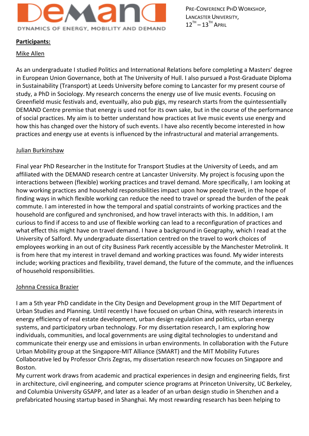

#### **Participants:**

#### Mike Allen

As an undergraduate I studied Politics and International Relations before completing a Masters' degree in European Union Governance, both at The University of Hull. I also pursued a Post-Graduate Diploma in Sustainability (Transport) at Leeds University before coming to Lancaster for my present course of study, a PhD in Sociology. My research concerns the energy use of live music events. Focusing on Greenfield music festivals and, eventually, also pub gigs, my research starts from the quintessentially DEMAND Centre premise that energy is used not for its own sake, but in the course of the performance of social practices. My aim is to better understand how practices at live music events use energy and how this has changed over the history of such events. I have also recently become interested in how practices and energy use at events is influenced by the infrastructural and material arrangements.

#### Julian Burkinshaw

Final year PhD Researcher in the Institute for Transport Studies at the University of Leeds, and am affiliated with the DEMAND research centre at Lancaster University. My project is focusing upon the interactions between (flexible) working practices and travel demand. More specifically, I am looking at how working practices and household responsibilities impact upon how people travel, in the hope of finding ways in which flexible working can reduce the need to travel or spread the burden of the peak commute. I am interested in how the temporal and spatial constraints of working practices and the household are configured and synchronised, and how travel interacts with this. In addition, I am curious to find if access to and use of flexible working can lead to a reconfiguration of practices and what effect this might have on travel demand. I have a background in Geography, which I read at the University of Salford. My undergraduate dissertation centred on the travel to work choices of employees working in an out of city Business Park recently accessible by the Manchester Metrolink. It is from here that my interest in travel demand and working practices was found. My wider interests include; working practices and flexibility, travel demand, the future of the commute, and the influences of household responsibilities.

#### Johnna Cressica Brazier

I am a 5th year PhD candidate in the City Design and Development group in the MIT Department of Urban Studies and Planning. Until recently I have focused on urban China, with research interests in energy efficiency of real estate development, urban design regulation and politics, urban energy systems, and participatory urban technology. For my dissertation research, I am exploring how individuals, communities, and local governments are using digital technologies to understand and communicate their energy use and emissions in urban environments. In collaboration with the Future Urban Mobility group at the Singapore-MIT Alliance (SMART) and the MIT Mobility Futures Collaborative led by Professor Chris Zegras, my dissertation research now focuses on Singapore and Boston.

My current work draws from academic and practical experiences in design and engineering fields, first in architecture, civil engineering, and computer science programs at Princeton University, UC Berkeley, and Columbia University GSAPP, and later as a leader of an urban design studio in Shenzhen and a prefabricated housing startup based in Shanghai. My most rewarding research has been helping to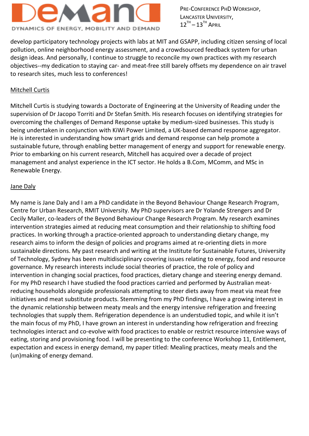

develop participatory technology projects with labs at MIT and GSAPP, including citizen sensing of local pollution, online neighborhood energy assessment, and a crowdsourced feedback system for urban design ideas. And personally, I continue to struggle to reconcile my own practices with my research objectives--my dedication to staying car- and meat-free still barely offsets my dependence on air travel to research sites, much less to conferences!

## Mitchell Curtis

Mitchell Curtis is studying towards a Doctorate of Engineering at the University of Reading under the supervision of Dr Jacopo Torriti and Dr Stefan Smith. His research focuses on identifying strategies for overcoming the challenges of Demand Response uptake by medium-sized businesses. This study is being undertaken in conjunction with KiWi Power Limited, a UK-based demand response aggregator. He is interested in understanding how smart grids and demand response can help promote a sustainable future, through enabling better management of energy and support for renewable energy. Prior to embarking on his current research, Mitchell has acquired over a decade of project management and analyst experience in the ICT sector. He holds a B.Com, MComm, and MSc in Renewable Energy.

#### Jane Daly

My name is Jane Daly and I am a PhD candidate in the Beyond Behaviour Change Research Program, Centre for Urban Research, RMIT University. My PhD supervisors are Dr Yolande Strengers and Dr Cecily Maller, co-leaders of the Beyond Behaviour Change Research Program. My research examines intervention strategies aimed at reducing meat consumption and their relationship to shifting food practices. In working through a practice-oriented approach to understanding dietary change, my research aims to inform the design of policies and programs aimed at re-orienting diets in more sustainable directions. My past research and writing at the Institute for Sustainable Futures, University of Technology, Sydney has been multidisciplinary covering issues relating to energy, food and resource governance. My research interests include social theories of practice, the role of policy and intervention in changing social practices, food practices, dietary change and steering energy demand. For my PhD research I have studied the food practices carried and performed by Australian meatreducing households alongside professionals attempting to steer diets away from meat via meat free initiatives and meat substitute products. Stemming from my PhD findings, I have a growing interest in the dynamic relationship between meaty meals and the energy intensive refrigeration and freezing technologies that supply them. Refrigeration dependence is an understudied topic, and while it isn't the main focus of my PhD, I have grown an interest in understanding how refrigeration and freezing technologies interact and co-evolve with food practices to enable or restrict resource intensive ways of eating, storing and provisioning food. I will be presenting to the conference Workshop 11, Entitlement, expectation and excess in energy demand, my paper titled: Mealing practices, meaty meals and the (un)making of energy demand.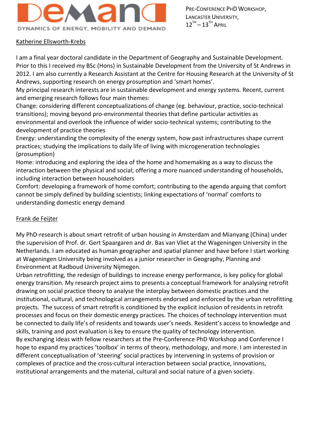

## Katherine Ellsworth-Krebs

I am a final year doctoral candidate in the Department of Geography and Sustainable Development. Prior to this I received my BSc (Hons) in Sustainable Development from the University of St Andrews in 2012. I am also currently a Research Assistant at the Centre for Housing Research at the University of St Andrews, supporting research on energy prosumption and 'smart homes'.

My principal research interests are in sustainable development and energy systems. Recent, current and emerging research follows four main themes:

Change: considering different conceptualizations of change (eg. behaviour, practice, socio-technical transitions); moving beyond pro-environmental theories that define particular activities as environmental and overlook the influence of wider socio-technical systems; contributing to the development of practice theories

Energy: understanding the complexity of the energy system, how past infrastructures shape current practices; studying the implications to daily life of living with microgeneration technologies (prosumption)

Home: introducing and exploring the idea of the home and homemaking as a way to discuss the interaction between the physical and social; offering a more nuanced understanding of households, including interaction between householders

Comfort: developing a framework of home comfort; contributing to the agenda arguing that comfort cannot be simply defined by building scientists; linking expectations of 'normal' comforts to understanding domestic energy demand

## Frank de Feijter

My PhD-research is about smart retrofit of urban housing in Amsterdam and Mianyang (China) under the supervision of Prof. dr. Gert Spaargaren and dr. Bas van Vliet at the Wageningen University in the Netherlands. I am educated as human geographer and spatial planner and have before I start working at Wageningen University being involved as a junior researcher in Geography, Planning and Environment at Radboud University Nijmegen.

Urban retrofitting, the redesign of buildings to increase energy performance, is key policy for global energy transition. My research project aims to presents a conceptual framework for analysing retrofit drawing on social practice theory to analyse the interplay between domestic practices and the institutional, cultural, and technological arrangements endorsed and enforced by the urban retrofitting projects. The success of smart retrofit is conditioned by the explicit inclusion of residents in retrofit processes and focus on their domestic energy practices. The choices of technology intervention must be connected to daily life's of residents and towards user's needs. Resident's access to knowledge and skills, training and post evaluation is key to ensure the quality of technology intervention. By exchanging ideas with fellow researchers at the Pre-Conference PhD Workshop and Conference I hope to expand my practices 'toolbox' in terms of theory, methodology, and more. I am interested in different conceptualisation of 'steering' social practices by intervening in systems of provision or complexes of practice and the cross-cultural interaction between social practice, innovations, institutional arrangements and the material, cultural and social nature of a given society.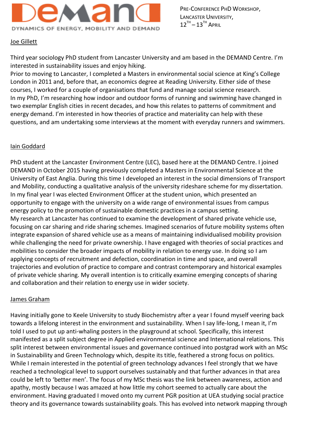

# Joe Gillett

Third year sociology PhD student from Lancaster University and am based in the DEMAND Centre. I'm interested in sustainability issues and enjoy hiking.

Prior to moving to Lancaster, I completed a Masters in environmental social science at King's College London in 2011 and, before that, an economics degree at Reading University. Either side of these courses, I worked for a couple of organisations that fund and manage social science research. In my PhD, I'm researching how indoor and outdoor forms of running and swimming have changed in two exemplar English cities in recent decades, and how this relates to patterns of commitment and energy demand. I'm interested in how theories of practice and materiality can help with these questions, and am undertaking some interviews at the moment with everyday runners and swimmers.

#### Iain Goddard

PhD student at the Lancaster Environment Centre (LEC), based here at the DEMAND Centre. I joined DEMAND in October 2015 having previously completed a Masters in Environmental Science at the University of East Anglia. During this time I developed an interest in the social dimensions of Transport and Mobility, conducting a qualitative analysis of the university rideshare scheme for my dissertation. In my final year I was elected Environment Officer at the student union, which presented an opportunity to engage with the university on a wide range of environmental issues from campus energy policy to the promotion of sustainable domestic practices in a campus setting. My research at Lancaster has continued to examine the development of shared private vehicle use, focusing on car sharing and ride sharing schemes. Imagined scenarios of future mobility systems often integrate expansion of shared vehicle use as a means of maintaining individualised mobility provision while challenging the need for private ownership. I have engaged with theories of social practices and mobilities to consider the broader impacts of mobility in relation to energy use. In doing so I am applying concepts of recruitment and defection, coordination in time and space, and overall trajectories and evolution of practice to compare and contrast contemporary and historical examples of private vehicle sharing. My overall intention is to critically examine emerging concepts of sharing and collaboration and their relation to energy use in wider society.

# James Graham

Having initially gone to Keele University to study Biochemistry after a year I found myself veering back towards a lifelong interest in the environment and sustainability. When I say life-long, I mean it, I'm told I used to put up anti-whaling posters in the playground at school. Specifically, this interest manifested as a split subject degree in Applied environmental science and International relations. This split interest between environmental issues and governance continued into postgrad work with an MSc in Sustainability and Green Technology which, despite its title, feathered a strong focus on politics. While I remain interested in the potential of green technology advances I feel strongly that we have reached a technological level to support ourselves sustainably and that further advances in that area could be left to 'better men'. The focus of my MSc thesis was the link between awareness, action and apathy, mostly because I was amazed at how little my cohort seemed to actually care about the environment. Having graduated I moved onto my current PGR position at UEA studying social practice theory and its governance towards sustainability goals. This has evolved into network mapping through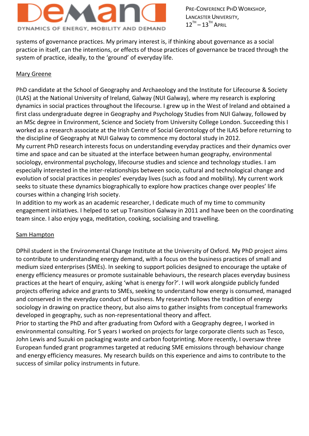

systems of governance practices. My primary interest is, if thinking about governance as a social practice in itself, can the intentions, or effects of those practices of governance be traced through the system of practice, ideally, to the 'ground' of everyday life.

#### Mary Greene

PhD candidate at the School of Geography and Archaeology and the Institute for Lifecourse & Society (ILAS) at the National University of Ireland, Galway (NUI Galway), where my research is exploring dynamics in social practices throughout the lifecourse. I grew up in the West of Ireland and obtained a first class undergraduate degree in Geography and Psychology Studies from NUI Galway, followed by an MSc degree in Environment, Science and Society from University College London. Succeeding this I worked as a research associate at the Irish Centre of Social Gerontology of the ILAS before returning to the discipline of Geography at NUI Galway to commence my doctoral study in 2012. My current PhD research interests focus on understanding everyday practices and their dynamics over

time and space and can be situated at the interface between human geography, environmental sociology, environmental psychology, lifecourse studies and science and technology studies. I am especially interested in the inter-relationships between socio, cultural and technological change and evolution of social practices in peoples' everyday lives (such as food and mobility). My current work seeks to situate these dynamics biographically to explore how practices change over peoples' life courses within a changing Irish society.

In addition to my work as an academic researcher, I dedicate much of my time to community engagement initiatives. I helped to set up Transition Galway in 2011 and have been on the coordinating team since. I also enjoy yoga, meditation, cooking, socialising and travelling.

#### Sam Hampton

DPhil student in the Environmental Change Institute at the University of Oxford. My PhD project aims to contribute to understanding energy demand, with a focus on the business practices of small and medium sized enterprises (SMEs). In seeking to support policies designed to encourage the uptake of energy efficiency measures or promote sustainable behaviours, the research places everyday business practices at the heart of enquiry, asking 'what is energy for?'. I will work alongside publicly funded projects offering advice and grants to SMEs, seeking to understand how energy is consumed, managed and conserved in the everyday conduct of business. My research follows the tradition of energy sociology in drawing on practice theory, but also aims to gather insights from conceptual frameworks developed in geography, such as non-representational theory and affect.

Prior to starting the PhD and after graduating from Oxford with a Geography degree, I worked in environmental consulting. For 5 years I worked on projects for large corporate clients such as Tesco, John Lewis and Suzuki on packaging waste and carbon footprinting. More recently, I oversaw three European funded grant programmes targeted at reducing SME emissions through behaviour change and energy efficiency measures. My research builds on this experience and aims to contribute to the success of similar policy instruments in future.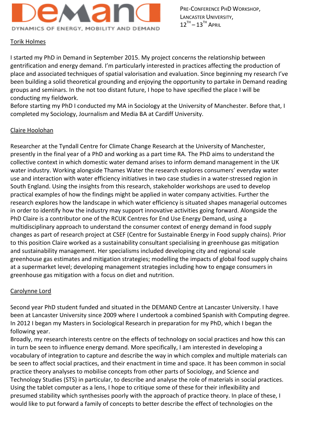

# Torik Holmes

I started my PhD in Demand in September 2015. My project concerns the relationship between gentrification and energy demand. I'm particularly interested in practices affecting the production of place and associated techniques of spatial valorisation and evaluation. Since beginning my research I've been building a solid theoretical grounding and enjoying the opportunity to partake in Demand reading groups and seminars. In the not too distant future, I hope to have specified the place I will be conducting my fieldwork.

Before starting my PhD I conducted my MA in Sociology at the University of Manchester. Before that, I completed my Sociology, Journalism and Media BA at Cardiff University.

# Claire Hoolohan

Researcher at the Tyndall Centre for Climate Change Research at the University of Manchester, presently in the final year of a PhD and working as a part time RA. The PhD aims to understand the collective context in which domestic water demand arises to inform demand management in the UK water industry. Working alongside Thames Water the research explores consumers' everyday water use and interaction with water efficiency initiatives in two case studies in a water-stressed region in South England. Using the insights from this research, stakeholder workshops are used to develop practical examples of how the findings might be applied in water company activities. Further the research explores how the landscape in which water efficiency is situated shapes managerial outcomes in order to identify how the industry may support innovative activities going forward. Alongside the PhD Claire is a contributor one of the RCUK Centres for End Use Energy Demand, using a multidisciplinary approach to understand the consumer context of energy demand in food supply changes as part of research project at CSEF (Centre for Sustainable Energy in Food supply chains). Prior to this position Claire worked as a sustainability consultant specialising in greenhouse gas mitigation and sustainability management. Her specialisms included developing city and regional scale greenhouse gas estimates and mitigation strategies; modelling the impacts of global food supply chains at a supermarket level; developing management strategies including how to engage consumers in greenhouse gas mitigation with a focus on diet and nutrition.

# Carolynne Lord

Second year PhD student funded and situated in the DEMAND Centre at Lancaster University. I have been at Lancaster University since 2009 where I undertook a combined Spanish with Computing degree. In 2012 I began my Masters in Sociological Research in preparation for my PhD, which I began the following year.

Broadly, my research interests centre on the effects of technology on social practices and how this can in turn be seen to influence energy demand. More specifically, I am interested in developing a vocabulary of integration to capture and describe the way in which complex and multiple materials can be seen to affect social practices, and their enactment in time and space. It has been common in social practice theory analyses to mobilise concepts from other parts of Sociology, and Science and Technology Studies (STS) in particular, to describe and analyse the role of materials in social practices. Using the tablet computer as a lens, I hope to critique some of these for their inflexibility and presumed stability which synthesises poorly with the approach of practice theory. In place of these, I would like to put forward a family of concepts to better describe the effect of technologies on the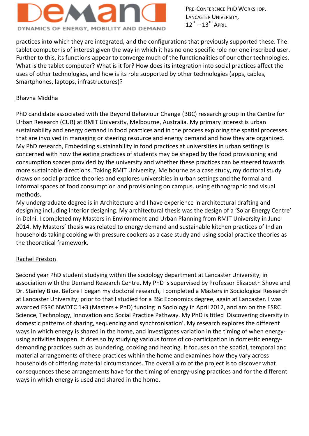# DYNAMICS OF ENERGY, MOBILITY AND DEMAND

PRE-CONFERENCE PHD WORKSHOP, LANCASTER UNIVERSITY,  $12^{TH} - 13^{TH}$  April

practices into which they are integrated, and the configurations that previously supported these. The tablet computer is of interest given the way in which it has no one specific role nor one inscribed user. Further to this, its functions appear to converge much of the functionalities of our other technologies. What is the tablet computer? What is it for? How does its integration into social practices affect the uses of other technologies, and how is its role supported by other technologies (apps, cables, Smartphones, laptops, infrastructures)?

# Bhavna Middha

PhD candidate associated with the Beyond Behaviour Change (BBC) research group in the Centre for Urban Research (CUR) at RMIT University, Melbourne, Australia. My primary interest is urban sustainability and energy demand in food practices and in the process exploring the spatial processes that are involved in managing or steering resource and energy demand and how they are organized. My PhD research, Embedding sustainability in food practices at universities in urban settings is concerned with how the eating practices of students may be shaped by the food provisioning and consumption spaces provided by the university and whether these practices can be steered towards more sustainable directions. Taking RMIT University, Melbourne as a case study, my doctoral study draws on social practice theories and explores universities in urban settings and the formal and informal spaces of food consumption and provisioning on campus, using ethnographic and visual methods.

My undergraduate degree is in Architecture and I have experience in architectural drafting and designing including interior designing. My architectural thesis was the design of a 'Solar Energy Centre' in Delhi. I completed my Masters in Environment and Urban Planning from RMIT University in June 2014. My Masters' thesis was related to energy demand and sustainable kitchen practices of Indian households taking cooking with pressure cookers as a case study and using social practice theories as the theoretical framework.

# Rachel Preston

Second year PhD student studying within the sociology department at Lancaster University, in association with the Demand Research Centre. My PhD is supervised by Professor Elizabeth Shove and Dr. Stanley Blue. Before I began my doctoral research, I completed a Masters in Sociological Research at Lancaster University; prior to that I studied for a BSc Economics degree, again at Lancaster. I was awarded ESRC NWDTC 1+3 (Masters + PhD) funding in Sociology in April 2012, and am on the ESRC Science, Technology, Innovation and Social Practice Pathway. My PhD is titled 'Discovering diversity in domestic patterns of sharing, sequencing and synchronisation'. My research explores the different ways in which energy is shared in the home, and investigates variation in the timing of when energyusing activities happen. It does so by studying various forms of co-participation in domestic energydemanding practices such as laundering, cooking and heating. It focuses on the spatial, temporal and material arrangements of these practices within the home and examines how they vary across households of differing material circumstances. The overall aim of the project is to discover what consequences these arrangements have for the timing of energy-using practices and for the different ways in which energy is used and shared in the home.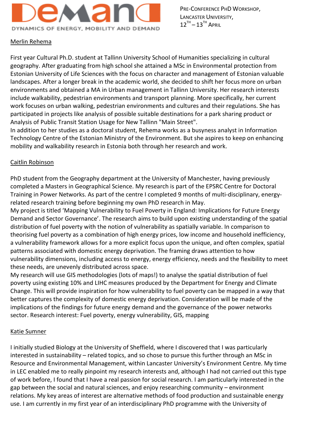

## Merlin Rehema

First year Cultural Ph.D. student at Tallinn University School of Humanities specializing in cultural geography. After graduating from high school she attained a MSc in Environmental protection from Estonian University of Life Sciences with the focus on character and management of Estonian valuable landscapes. After a longer break in the academic world, she decided to shift her focus more on urban environments and obtained a MA in Urban management in Tallinn University. Her research interests include walkability, pedestrian environments and transport planning. More specifically, her current work focuses on urban walking, pedestrian environments and cultures and their regulations. She has participated in projects like analysis of possible suitable destinations for a park sharing product or Analysis of Public Transit Station Usage for New Tallinn "Main Street".

In addition to her studies as a doctoral student, Rehema works as a busyness analyst in Information Technology Centre of the Estonian Ministry of the Environment. But she aspires to keep on enhancing mobility and walkability research in Estonia both through her research and work.

#### Caitlin Robinson

PhD student from the Geography department at the University of Manchester, having previously completed a Masters in Geographical Science. My research is part of the EPSRC Centre for Doctoral Training in Power Networks. As part of the centre I completed 9 months of multi-disciplinary, energyrelated research training before beginning my own PhD research in May.

My project is titled 'Mapping Vulnerability to Fuel Poverty in England: Implications for Future Energy Demand and Sector Governance'. The research aims to build upon existing understanding of the spatial distribution of fuel poverty with the notion of vulnerability as spatially variable. In comparison to theorising fuel poverty as a combination of high energy prices, low income and household inefficiency, a vulnerability framework allows for a more explicit focus upon the unique, and often complex, spatial patterns associated with domestic energy deprivation. The framing draws attention to how vulnerability dimensions, including access to energy, energy efficiency, needs and the flexibility to meet these needs, are unevenly distributed across space.

My research will use GIS methodologies (lots of maps!) to analyse the spatial distribution of fuel poverty using existing 10% and LIHC measures produced by the Department for Energy and Climate Change. This will provide inspiration for how vulnerability to fuel poverty can be mapped in a way that better captures the complexity of domestic energy deprivation. Consideration will be made of the implications of the findings for future energy demand and the governance of the power networks sector. Research interest: Fuel poverty, energy vulnerability, GIS, mapping

# Katie Sumner

I initially studied Biology at the University of Sheffield, where I discovered that I was particularly interested in sustainability – related topics, and so chose to pursue this further through an MSc in Resource and Environmental Management, within Lancaster University's Environment Centre. My time in LEC enabled me to really pinpoint my research interests and, although I had not carried out this type of work before, I found that I have a real passion for social research. I am particularly interested in the gap between the social and natural sciences, and enjoy researching community – environment relations. My key areas of interest are alternative methods of food production and sustainable energy use. I am currently in my first year of an interdisciplinary PhD programme with the University of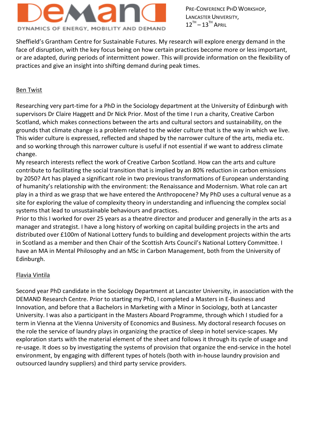# DYNAMICS OF ENERGY, MOBILITY AND DEMAND

PRE-CONFERENCE PHD WORKSHOP, LANCASTER UNIVERSITY,  $12^{TH} - 13^{TH}$  April

Sheffield's Grantham Centre for Sustainable Futures. My research will explore energy demand in the face of disruption, with the key focus being on how certain practices become more or less important, or are adapted, during periods of intermittent power. This will provide information on the flexibility of practices and give an insight into shifting demand during peak times.

# Ben Twist

Researching very part-time for a PhD in the Sociology department at the University of Edinburgh with supervisors Dr Claire Haggett and Dr Nick Prior. Most of the time I run a charity, Creative Carbon Scotland, which makes connections between the arts and cultural sectors and sustainability, on the grounds that climate change is a problem related to the wider culture that is the way in which we live. This wider culture is expressed, reflected and shaped by the narrower culture of the arts, media etc. and so working through this narrower culture is useful if not essential if we want to address climate change.

My research interests reflect the work of Creative Carbon Scotland. How can the arts and culture contribute to facilitating the social transition that is implied by an 80% reduction in carbon emissions by 2050? Art has played a significant role in two previous transformations of European understanding of humanity's relationship with the environment: the Renaissance and Modernism. What role can art play in a third as we grasp that we have entered the Anthropocene? My PhD uses a cultural venue as a site for exploring the value of complexity theory in understanding and influencing the complex social systems that lead to unsustainable behaviours and practices.

Prior to this I worked for over 25 years as a theatre director and producer and generally in the arts as a manager and strategist. I have a long history of working on capital building projects in the arts and distributed over £100m of National Lottery funds to building and development projects within the arts in Scotland as a member and then Chair of the Scottish Arts Council's National Lottery Committee. I have an MA in Mental Philosophy and an MSc in Carbon Management, both from the University of Edinburgh.

# Flavia Vintila

Second year PhD candidate in the Sociology Department at Lancaster University, in association with the DEMAND Research Centre. Prior to starting my PhD, I completed a Masters in E-Business and Innovation, and before that a Bachelors in Marketing with a Minor in Sociology, both at Lancaster University. I was also a participant in the Masters Aboard Programme, through which I studied for a term in Vienna at the Vienna University of Economics and Business. My doctoral research focuses on the role the service of laundry plays in organizing the practice of sleep in hotel service-scapes. My exploration starts with the material element of the sheet and follows it through its cycle of usage and re-usage. It does so by investigating the systems of provision that organize the end-service in the hotel environment, by engaging with different types of hotels (both with in-house laundry provision and outsourced laundry suppliers) and third party service providers.